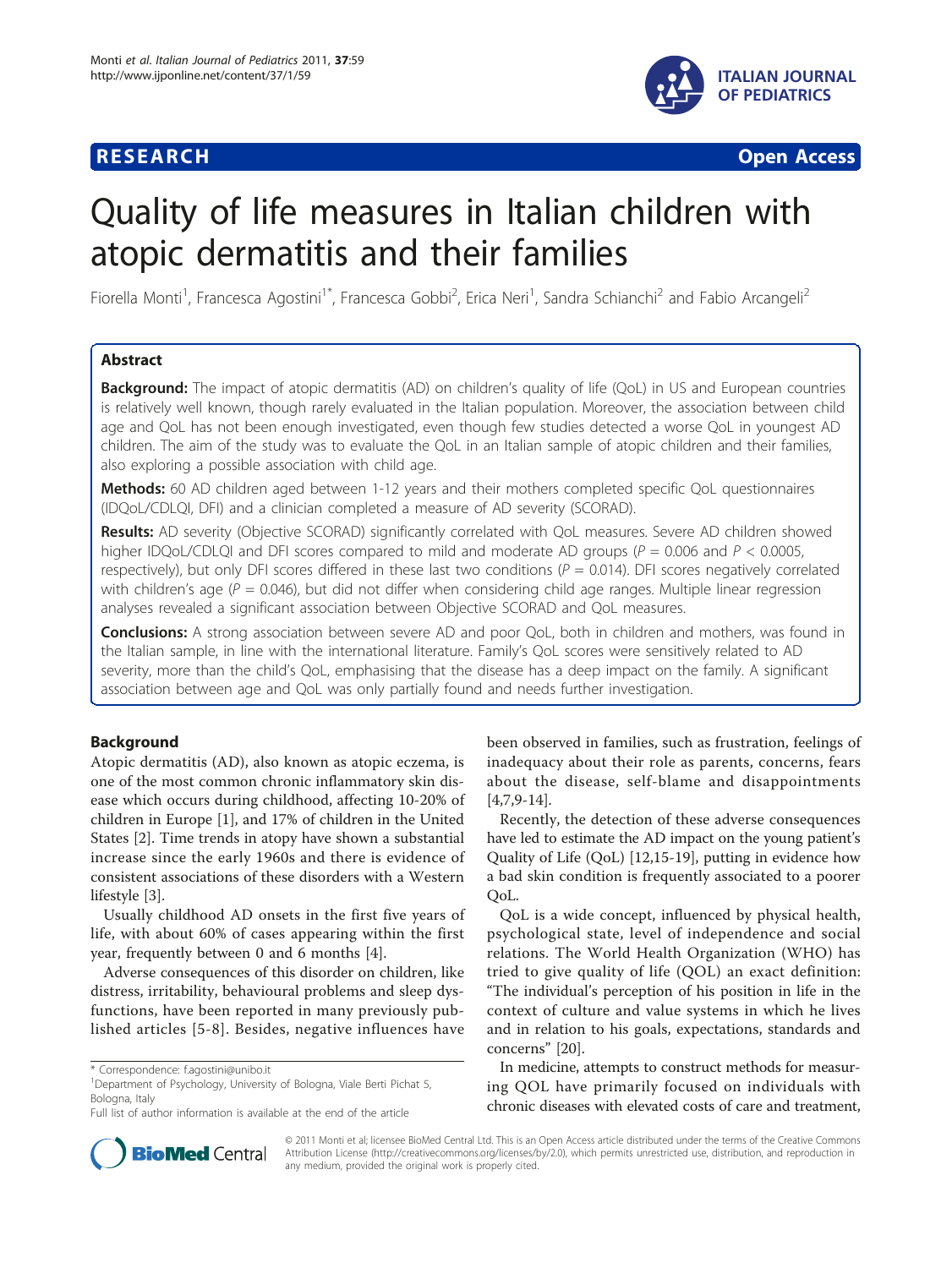

**RESEARCH CONSTRUCTION CONSTRUCTS** 

# Quality of life measures in Italian children with atopic dermatitis and their families

Fiorella Monti<sup>1</sup>, Francesca Agostini<sup>1\*</sup>, Francesca Gobbi<sup>2</sup>, Erica Neri<sup>1</sup>, Sandra Schianchi<sup>2</sup> and Fabio Arcangeli<sup>2</sup>

# Abstract

**Background:** The impact of atopic dermatitis (AD) on children's quality of life (QoL) in US and European countries is relatively well known, though rarely evaluated in the Italian population. Moreover, the association between child age and QoL has not been enough investigated, even though few studies detected a worse QoL in youngest AD children. The aim of the study was to evaluate the QoL in an Italian sample of atopic children and their families, also exploring a possible association with child age.

Methods: 60 AD children aged between 1-12 years and their mothers completed specific QoL questionnaires (IDQoL/CDLQI, DFI) and a clinician completed a measure of AD severity (SCORAD).

Results: AD severity (Objective SCORAD) significantly correlated with QoL measures. Severe AD children showed higher IDQoL/CDLQI and DFI scores compared to mild and moderate AD groups ( $P = 0.006$  and  $P < 0.0005$ , respectively), but only DFI scores differed in these last two conditions ( $P = 0.014$ ). DFI scores negatively correlated with children's age ( $P = 0.046$ ), but did not differ when considering child age ranges. Multiple linear regression analyses revealed a significant association between Objective SCORAD and QoL measures.

**Conclusions:** A strong association between severe AD and poor QoL, both in children and mothers, was found in the Italian sample, in line with the international literature. Family's QoL scores were sensitively related to AD severity, more than the child's QoL, emphasising that the disease has a deep impact on the family. A significant association between age and QoL was only partially found and needs further investigation.

# Background

Atopic dermatitis (AD), also known as atopic eczema, is one of the most common chronic inflammatory skin disease which occurs during childhood, affecting 10-20% of children in Europe [[1\]](#page-4-0), and 17% of children in the United States [[2\]](#page-4-0). Time trends in atopy have shown a substantial increase since the early 1960s and there is evidence of consistent associations of these disorders with a Western lifestyle [\[3\]](#page-4-0).

Usually childhood AD onsets in the first five years of life, with about 60% of cases appearing within the first year, frequently between 0 and 6 months [[4\]](#page-4-0).

Adverse consequences of this disorder on children, like distress, irritability, behavioural problems and sleep dysfunctions, have been reported in many previously published articles [[5-8\]](#page-4-0). Besides, negative influences have been observed in families, such as frustration, feelings of inadequacy about their role as parents, concerns, fears about the disease, self-blame and disappointments  $[4,7,9-14]$  $[4,7,9-14]$  $[4,7,9-14]$ .

Recently, the detection of these adverse consequences have led to estimate the AD impact on the young patient's Quality of Life (QoL) [\[12,15](#page-4-0)[-19](#page-5-0)], putting in evidence how a bad skin condition is frequently associated to a poorer QoL.

QoL is a wide concept, influenced by physical health, psychological state, level of independence and social relations. The World Health Organization (WHO) has tried to give quality of life (QOL) an exact definition: "The individual's perception of his position in life in the context of culture and value systems in which he lives and in relation to his goals, expectations, standards and concerns" [\[20\]](#page-5-0).

In medicine, attempts to construct methods for measuring QOL have primarily focused on individuals with chronic diseases with elevated costs of care and treatment,



© 2011 Monti et al; licensee BioMed Central Ltd. This is an Open Access article distributed under the terms of the Creative Commons Attribution License [\(http://creativecommons.org/licenses/by/2.0](http://creativecommons.org/licenses/by/2.0)), which permits unrestricted use, distribution, and reproduction in any medium, provided the original work is properly cited.

<sup>\*</sup> Correspondence: [f.agostini@unibo.it](mailto:f.agostini@unibo.it)

<sup>&</sup>lt;sup>1</sup>Department of Psychology, University of Bologna, Viale Berti Pichat 5, Bologna, Italy

Full list of author information is available at the end of the article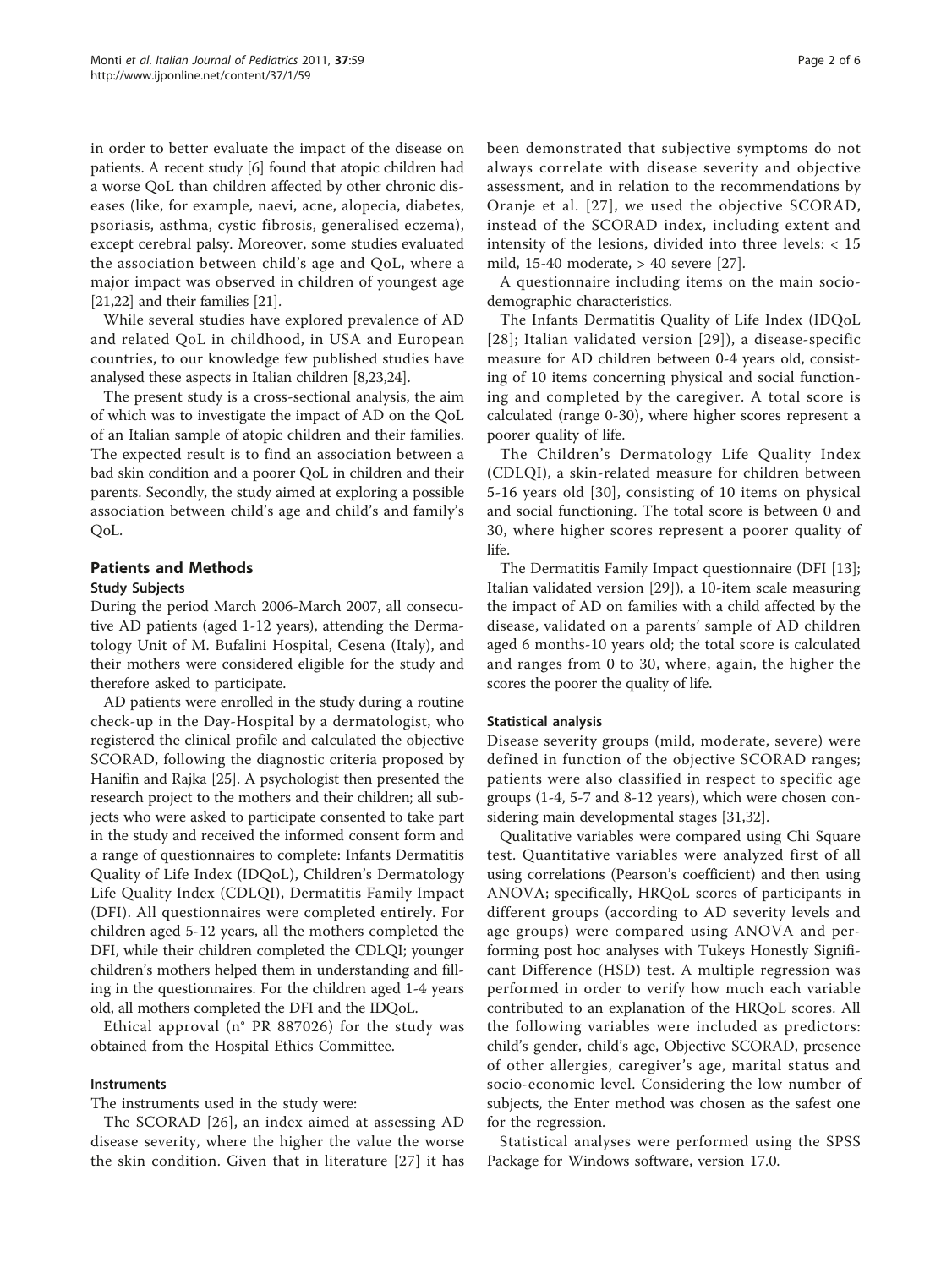in order to better evaluate the impact of the disease on patients. A recent study [[6](#page-4-0)] found that atopic children had a worse QoL than children affected by other chronic diseases (like, for example, naevi, acne, alopecia, diabetes, psoriasis, asthma, cystic fibrosis, generalised eczema), except cerebral palsy. Moreover, some studies evaluated the association between child's age and QoL, where a major impact was observed in children of youngest age [[21,22\]](#page-5-0) and their families [\[21](#page-5-0)].

While several studies have explored prevalence of AD and related QoL in childhood, in USA and European countries, to our knowledge few published studies have analysed these aspects in Italian children [[8,](#page-4-0)[23,24\]](#page-5-0).

The present study is a cross-sectional analysis, the aim of which was to investigate the impact of AD on the QoL of an Italian sample of atopic children and their families. The expected result is to find an association between a bad skin condition and a poorer QoL in children and their parents. Secondly, the study aimed at exploring a possible association between child's age and child's and family's QoL.

# Patients and Methods

#### Study Subjects

During the period March 2006-March 2007, all consecutive AD patients (aged 1-12 years), attending the Dermatology Unit of M. Bufalini Hospital, Cesena (Italy), and their mothers were considered eligible for the study and therefore asked to participate.

AD patients were enrolled in the study during a routine check-up in the Day-Hospital by a dermatologist, who registered the clinical profile and calculated the objective SCORAD, following the diagnostic criteria proposed by Hanifin and Rajka [\[25](#page-5-0)]. A psychologist then presented the research project to the mothers and their children; all subjects who were asked to participate consented to take part in the study and received the informed consent form and a range of questionnaires to complete: Infants Dermatitis Quality of Life Index (IDQoL), Children's Dermatology Life Quality Index (CDLQI), Dermatitis Family Impact (DFI). All questionnaires were completed entirely. For children aged 5-12 years, all the mothers completed the DFI, while their children completed the CDLQI; younger children's mothers helped them in understanding and filling in the questionnaires. For the children aged 1-4 years old, all mothers completed the DFI and the IDQoL.

Ethical approval (n° PR 887026) for the study was obtained from the Hospital Ethics Committee.

# **Instruments**

The instruments used in the study were:

The SCORAD [[26](#page-5-0)], an index aimed at assessing AD disease severity, where the higher the value the worse the skin condition. Given that in literature [[27\]](#page-5-0) it has been demonstrated that subjective symptoms do not always correlate with disease severity and objective assessment, and in relation to the recommendations by Oranje et al. [[27\]](#page-5-0), we used the objective SCORAD, instead of the SCORAD index, including extent and intensity of the lesions, divided into three levels: < 15 mild, 15-40 moderate, > 40 severe [[27](#page-5-0)].

A questionnaire including items on the main sociodemographic characteristics.

The Infants Dermatitis Quality of Life Index (IDQoL [[28\]](#page-5-0); Italian validated version [\[29\]](#page-5-0)), a disease-specific measure for AD children between 0-4 years old, consisting of 10 items concerning physical and social functioning and completed by the caregiver. A total score is calculated (range 0-30), where higher scores represent a poorer quality of life.

The Children's Dermatology Life Quality Index (CDLQI), a skin-related measure for children between 5-16 years old [[30\]](#page-5-0), consisting of 10 items on physical and social functioning. The total score is between 0 and 30, where higher scores represent a poorer quality of life.

The Dermatitis Family Impact questionnaire (DFI [\[13](#page-4-0)]; Italian validated version [\[29](#page-5-0)]), a 10-item scale measuring the impact of AD on families with a child affected by the disease, validated on a parents' sample of AD children aged 6 months-10 years old; the total score is calculated and ranges from 0 to 30, where, again, the higher the scores the poorer the quality of life.

#### Statistical analysis

Disease severity groups (mild, moderate, severe) were defined in function of the objective SCORAD ranges; patients were also classified in respect to specific age groups (1-4, 5-7 and 8-12 years), which were chosen considering main developmental stages [[31](#page-5-0),[32](#page-5-0)].

Qualitative variables were compared using Chi Square test. Quantitative variables were analyzed first of all using correlations (Pearson's coefficient) and then using ANOVA; specifically, HRQoL scores of participants in different groups (according to AD severity levels and age groups) were compared using ANOVA and performing post hoc analyses with Tukeys Honestly Significant Difference (HSD) test. A multiple regression was performed in order to verify how much each variable contributed to an explanation of the HRQoL scores. All the following variables were included as predictors: child's gender, child's age, Objective SCORAD, presence of other allergies, caregiver's age, marital status and socio-economic level. Considering the low number of subjects, the Enter method was chosen as the safest one for the regression.

Statistical analyses were performed using the SPSS Package for Windows software, version 17.0.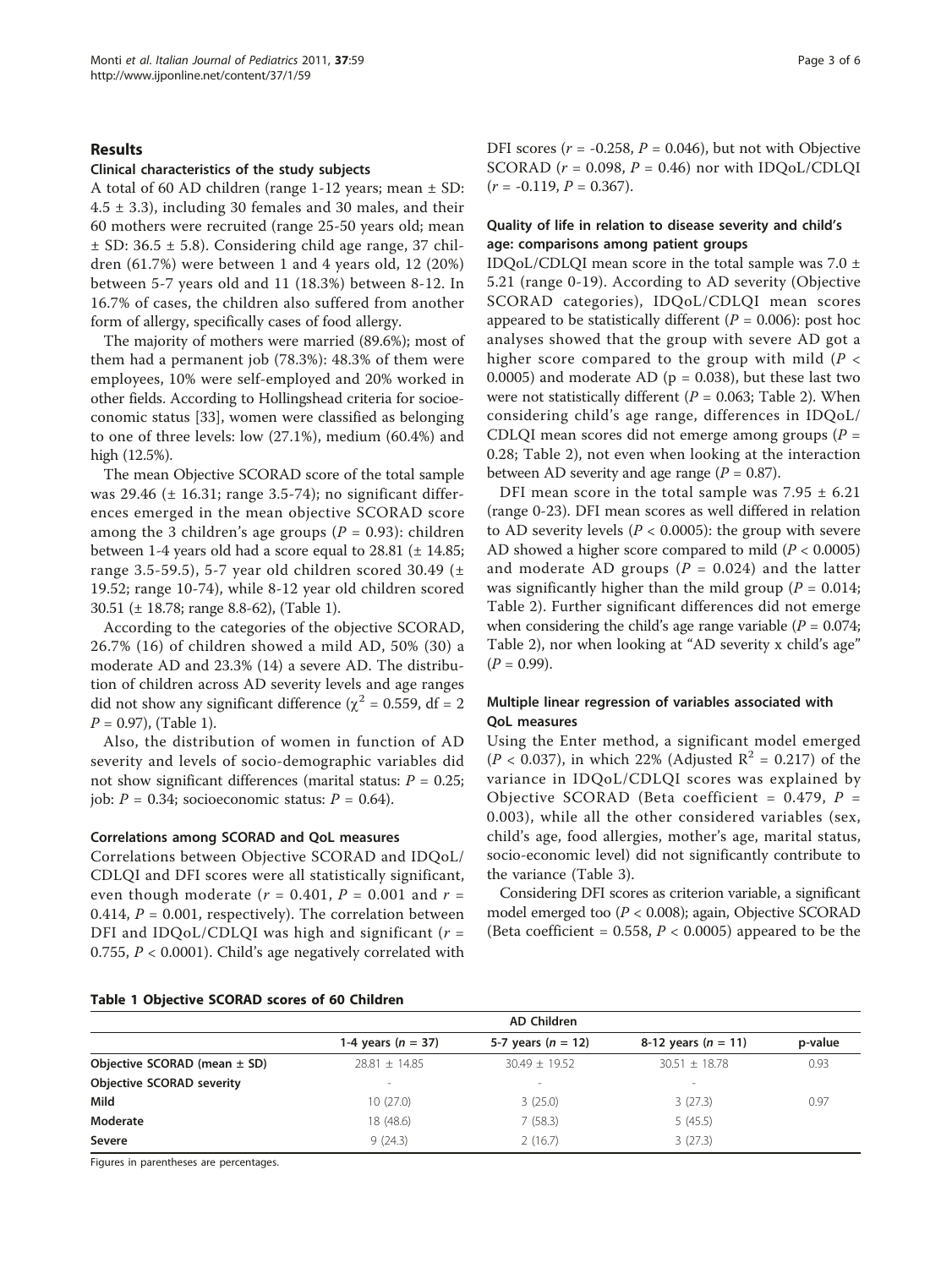#### Results

#### Clinical characteristics of the study subjects

A total of 60 AD children (range 1-12 years; mean ± SD:  $4.5 \pm 3.3$ ), including 30 females and 30 males, and their 60 mothers were recruited (range 25-50 years old; mean  $\pm$  SD: 36.5  $\pm$  5.8). Considering child age range, 37 children (61.7%) were between 1 and 4 years old, 12 (20%) between 5-7 years old and 11 (18.3%) between 8-12. In 16.7% of cases, the children also suffered from another form of allergy, specifically cases of food allergy.

The majority of mothers were married (89.6%); most of them had a permanent job (78.3%): 48.3% of them were employees, 10% were self-employed and 20% worked in other fields. According to Hollingshead criteria for socioeconomic status [\[33](#page-5-0)], women were classified as belonging to one of three levels: low (27.1%), medium (60.4%) and high (12.5%).

The mean Objective SCORAD score of the total sample was 29.46 (± 16.31; range 3.5-74); no significant differences emerged in the mean objective SCORAD score among the 3 children's age groups ( $P = 0.93$ ): children between 1-4 years old had a score equal to 28.81 (± 14.85; range 3.5-59.5), 5-7 year old children scored 30.49 ( $\pm$ 19.52; range 10-74), while 8-12 year old children scored 30.51 (± 18.78; range 8.8-62), (Table 1).

According to the categories of the objective SCORAD, 26.7% (16) of children showed a mild AD, 50% (30) a moderate AD and 23.3% (14) a severe AD. The distribution of children across AD severity levels and age ranges did not show any significant difference ( $\chi^2$  = 0.559, df = 2  $P = 0.97$ , (Table 1).

Also, the distribution of women in function of AD severity and levels of socio-demographic variables did not show significant differences (marital status:  $P = 0.25$ ; job:  $P = 0.34$ ; socioeconomic status:  $P = 0.64$ ).

#### Correlations among SCORAD and QoL measures

Correlations between Objective SCORAD and IDQoL/ CDLQI and DFI scores were all statistically significant, even though moderate  $(r = 0.401, P = 0.001$  and  $r =$ 0.414,  $P = 0.001$ , respectively). The correlation between DFI and IDQoL/CDLQI was high and significant ( $r =$ 0.755,  $P < 0.0001$ ). Child's age negatively correlated with DFI scores ( $r = -0.258$ ,  $P = 0.046$ ), but not with Objective SCORAD ( $r = 0.098$ ,  $P = 0.46$ ) nor with IDQoL/CDLQI  $(r = -0.119, P = 0.367).$ 

# Quality of life in relation to disease severity and child's age: comparisons among patient groups

IDQoL/CDLQI mean score in the total sample was  $7.0 \pm$ 5.21 (range 0-19). According to AD severity (Objective SCORAD categories), IDQoL/CDLQI mean scores appeared to be statistically different ( $P = 0.006$ ): post hoc analyses showed that the group with severe AD got a higher score compared to the group with mild ( $P <$ 0.0005) and moderate AD ( $p = 0.038$ ), but these last two were not statistically different ( $P = 0.063$ ; Table [2\)](#page-3-0). When considering child's age range, differences in IDQoL/ CDLQI mean scores did not emerge among groups  $(P =$ 0.28; Table [2\)](#page-3-0), not even when looking at the interaction between AD severity and age range  $(P = 0.87)$ .

DFI mean score in the total sample was  $7.95 \pm 6.21$ (range 0-23). DFI mean scores as well differed in relation to AD severity levels ( $P < 0.0005$ ): the group with severe AD showed a higher score compared to mild ( $P < 0.0005$ ) and moderate AD groups ( $P = 0.024$ ) and the latter was significantly higher than the mild group ( $P = 0.014$ ; Table [2](#page-3-0)). Further significant differences did not emerge when considering the child's age range variable ( $P = 0.074$ ; Table [2\)](#page-3-0), nor when looking at "AD severity x child's age"  $(P = 0.99)$ .

# Multiple linear regression of variables associated with QoL measures

Using the Enter method, a significant model emerged  $(P < 0.037)$ , in which 22% (Adjusted  $R^2 = 0.217$ ) of the variance in IDQoL/CDLQI scores was explained by Objective SCORAD (Beta coefficient =  $0.479$ ,  $P =$ 0.003), while all the other considered variables (sex, child's age, food allergies, mother's age, marital status, socio-economic level) did not significantly contribute to the variance (Table [3\)](#page-3-0).

Considering DFI scores as criterion variable, a significant model emerged too  $(P < 0.008)$ ; again, Objective SCORAD (Beta coefficient =  $0.558$ ,  $P < 0.0005$ ) appeared to be the

|  |  |  |  |  |  |  | Table 1 Objective SCORAD scores of 60 Children |
|--|--|--|--|--|--|--|------------------------------------------------|
|--|--|--|--|--|--|--|------------------------------------------------|

|                                  | AD Children          |                          |                          |         |
|----------------------------------|----------------------|--------------------------|--------------------------|---------|
|                                  | 1-4 years $(n = 37)$ | 5-7 years ( $n = 12$ )   | 8-12 years $(n = 11)$    | p-value |
| Objective SCORAD (mean $\pm$ SD) | $78.81 + 14.85$      | $30.49 + 19.52$          | $30.51 + 18.78$          | 0.93    |
| <b>Objective SCORAD severity</b> | $\sim$               | $\overline{\phantom{a}}$ | $\overline{\phantom{a}}$ |         |
| Mild                             | 10(27.0)             | 3(25.0)                  | 3(27.3)                  | 0.97    |
| Moderate                         | 18 (48.6)            | 7(58.3)                  | 5(45.5)                  |         |
| Severe                           | 9(24.3)              | 2(16.7)                  | 3(27.3)                  |         |

Figures in parentheses are percentages.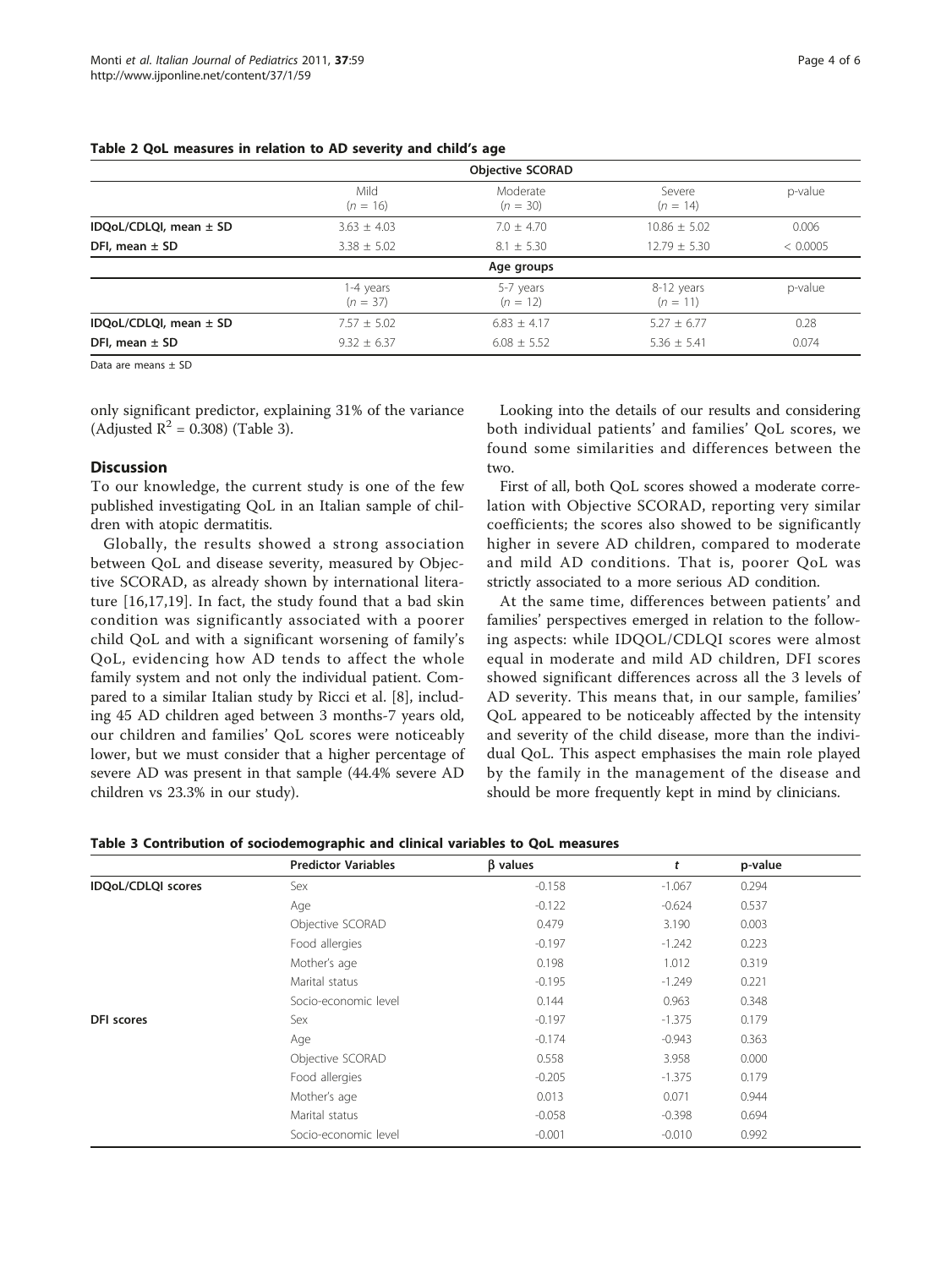<span id="page-3-0"></span>

| Table 2 QoL measures in relation to AD severity and child's age |  |
|-----------------------------------------------------------------|--|
|-----------------------------------------------------------------|--|

|                        |                         | <b>Objective SCORAD</b> |                          |          |
|------------------------|-------------------------|-------------------------|--------------------------|----------|
|                        | Mild<br>$(n = 16)$      | Moderate<br>$(n = 30)$  | Severe<br>$(n = 14)$     | p-value  |
| IDQoL/CDLQI, mean ± SD | $3.63 + 4.03$           | $7.0 + 4.70$            | $10.86 + 5.02$           | 0.006    |
| DFI, mean $\pm$ SD     | $3.38 \pm 5.02$         | $8.1 \pm 5.30$          | $12.79 \pm 5.30$         | < 0.0005 |
|                        |                         | Age groups              |                          |          |
|                        | 1-4 years<br>$(n = 37)$ | 5-7 years<br>$(n = 12)$ | 8-12 years<br>$(n = 11)$ | p-value  |
| IDQoL/CDLQI, mean ± SD | $7.57 \pm 5.02$         | $6.83 + 4.17$           | $5.27 + 6.77$            | 0.28     |
| DFI, mean $\pm$ SD     | $9.32 + 6.37$           | $6.08 + 5.52$           | $5.36 + 5.41$            | 0.074    |

Data are means + SD

only significant predictor, explaining 31% of the variance (Adjusted  $R^2 = 0.308$ ) (Table 3).

# Discussion

To our knowledge, the current study is one of the few published investigating QoL in an Italian sample of children with atopic dermatitis.

Globally, the results showed a strong association between QoL and disease severity, measured by Objective SCORAD, as already shown by international literature [\[16](#page-5-0),[17,19\]](#page-5-0). In fact, the study found that a bad skin condition was significantly associated with a poorer child QoL and with a significant worsening of family's QoL, evidencing how AD tends to affect the whole family system and not only the individual patient. Compared to a similar Italian study by Ricci et al. [\[8](#page-4-0)], including 45 AD children aged between 3 months-7 years old, our children and families' QoL scores were noticeably lower, but we must consider that a higher percentage of severe AD was present in that sample (44.4% severe AD children vs 23.3% in our study).

Looking into the details of our results and considering both individual patients' and families' QoL scores, we found some similarities and differences between the two.

First of all, both QoL scores showed a moderate correlation with Objective SCORAD, reporting very similar coefficients; the scores also showed to be significantly higher in severe AD children, compared to moderate and mild AD conditions. That is, poorer QoL was strictly associated to a more serious AD condition.

At the same time, differences between patients' and families' perspectives emerged in relation to the following aspects: while IDQOL/CDLQI scores were almost equal in moderate and mild AD children, DFI scores showed significant differences across all the 3 levels of AD severity. This means that, in our sample, families' QoL appeared to be noticeably affected by the intensity and severity of the child disease, more than the individual QoL. This aspect emphasises the main role played by the family in the management of the disease and should be more frequently kept in mind by clinicians.

| Table 3 Contribution of sociodemographic and clinical variables to QoL measures |  |  |  |
|---------------------------------------------------------------------------------|--|--|--|
|---------------------------------------------------------------------------------|--|--|--|

|                    | <b>Predictor Variables</b> | <b>B</b> values | t        | p-value |  |
|--------------------|----------------------------|-----------------|----------|---------|--|
| IDQoL/CDLQI scores | Sex                        | $-0.158$        | $-1.067$ | 0.294   |  |
|                    | Age                        | $-0.122$        | $-0.624$ | 0.537   |  |
|                    | Objective SCORAD           | 0.479           | 3.190    | 0.003   |  |
|                    | Food allergies             | $-0.197$        | $-1.242$ | 0.223   |  |
|                    | Mother's age               | 0.198           | 1.012    | 0.319   |  |
|                    | Marital status             | $-0.195$        | $-1.249$ | 0.221   |  |
|                    | Socio-economic level       | 0.144           | 0.963    | 0.348   |  |
| DFI scores         | Sex                        | $-0.197$        | $-1.375$ | 0.179   |  |
|                    | Age                        | $-0.174$        | $-0.943$ | 0.363   |  |
|                    | Objective SCORAD           | 0.558           | 3.958    | 0.000   |  |
|                    | Food allergies             | $-0.205$        | $-1.375$ | 0.179   |  |
|                    | Mother's age               | 0.013           | 0.071    | 0.944   |  |
|                    | Marital status             | $-0.058$        | $-0.398$ | 0.694   |  |
|                    | Socio-economic level       | $-0.001$        | $-0.010$ | 0.992   |  |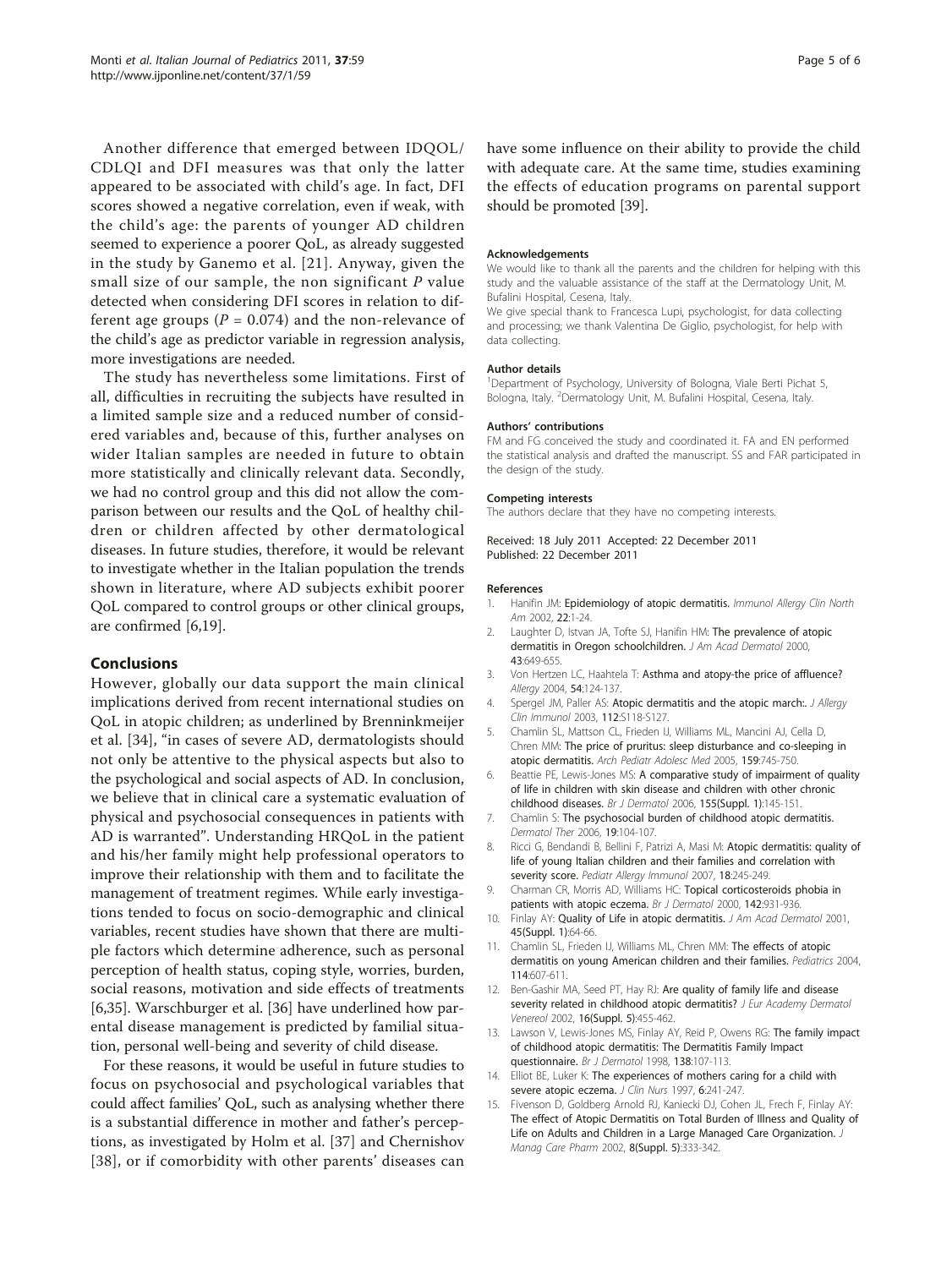<span id="page-4-0"></span>Another difference that emerged between IDQOL/ CDLQI and DFI measures was that only the latter appeared to be associated with child's age. In fact, DFI scores showed a negative correlation, even if weak, with the child's age: the parents of younger AD children seemed to experience a poorer QoL, as already suggested in the study by Ganemo et al. [[21](#page-5-0)]. Anyway, given the small size of our sample, the non significant  $P$  value detected when considering DFI scores in relation to different age groups ( $P = 0.074$ ) and the non-relevance of the child's age as predictor variable in regression analysis, more investigations are needed.

The study has nevertheless some limitations. First of all, difficulties in recruiting the subjects have resulted in a limited sample size and a reduced number of considered variables and, because of this, further analyses on wider Italian samples are needed in future to obtain more statistically and clinically relevant data. Secondly, we had no control group and this did not allow the comparison between our results and the QoL of healthy children or children affected by other dermatological diseases. In future studies, therefore, it would be relevant to investigate whether in the Italian population the trends shown in literature, where AD subjects exhibit poorer QoL compared to control groups or other clinical groups, are confirmed [6[,19](#page-5-0)].

#### Conclusions

However, globally our data support the main clinical implications derived from recent international studies on QoL in atopic children; as underlined by Brenninkmeijer et al. [[34\]](#page-5-0), "in cases of severe AD, dermatologists should not only be attentive to the physical aspects but also to the psychological and social aspects of AD. In conclusion, we believe that in clinical care a systematic evaluation of physical and psychosocial consequences in patients with AD is warranted". Understanding HRQoL in the patient and his/her family might help professional operators to improve their relationship with them and to facilitate the management of treatment regimes. While early investigations tended to focus on socio-demographic and clinical variables, recent studies have shown that there are multiple factors which determine adherence, such as personal perception of health status, coping style, worries, burden, social reasons, motivation and side effects of treatments [6,[35\]](#page-5-0). Warschburger et al. [\[36](#page-5-0)] have underlined how parental disease management is predicted by familial situation, personal well-being and severity of child disease.

For these reasons, it would be useful in future studies to focus on psychosocial and psychological variables that could affect families' QoL, such as analysing whether there is a substantial difference in mother and father's perceptions, as investigated by Holm et al. [[37](#page-5-0)] and Chernishov [[38](#page-5-0)], or if comorbidity with other parents' diseases can have some influence on their ability to provide the child with adequate care. At the same time, studies examining the effects of education programs on parental support should be promoted [[39](#page-5-0)].

#### Acknowledgements

We would like to thank all the parents and the children for helping with this study and the valuable assistance of the staff at the Dermatology Unit, M. Bufalini Hospital, Cesena, Italy.

We give special thank to Francesca Lupi, psychologist, for data collecting and processing; we thank Valentina De Giglio, psychologist, for help with data collecting.

#### Author details

<sup>1</sup>Department of Psychology, University of Bologna, Viale Berti Pichat 5, Bologna, Italy. <sup>2</sup>Dermatology Unit, M. Bufalini Hospital, Cesena, Italy.

#### Authors' contributions

FM and FG conceived the study and coordinated it. FA and EN performed the statistical analysis and drafted the manuscript. SS and FAR participated in the design of the study.

#### Competing interests

The authors declare that they have no competing interests.

Received: 18 July 2011 Accepted: 22 December 2011 Published: 22 December 2011

#### References

- Hanifin JM: Epidemiology of atopic dermatitis. Immunol Allergy Clin North Am 2002, 22:1-24.
- 2. Laughter D, Istvan JA, Tofte SJ, Hanifin HM: [The prevalence of atopic](http://www.ncbi.nlm.nih.gov/pubmed/11004621?dopt=Abstract) [dermatitis in Oregon schoolchildren.](http://www.ncbi.nlm.nih.gov/pubmed/11004621?dopt=Abstract) J Am Acad Dermatol 2000, 43:649-655.
- 3. Von Hertzen LC, Haahtela T: Asthma and atopy-the price of affluence? Allergy 2004, 54:124-137.
- 4. Spergel JM, Paller AS: [Atopic dermatitis and the atopic march:.](http://www.ncbi.nlm.nih.gov/pubmed/14657842?dopt=Abstract) J Allergy Clin Immunol 2003, 112:S118-S127.
- 5. Chamlin SL, Mattson CL, Frieden IJ, Williams ML, Mancini AJ, Cella D, Chren MM: [The price of pruritus: sleep disturbance and co-sleeping in](http://www.ncbi.nlm.nih.gov/pubmed/16061782?dopt=Abstract) [atopic dermatitis.](http://www.ncbi.nlm.nih.gov/pubmed/16061782?dopt=Abstract) Arch Pediatr Adolesc Med 2005, 159:745-750.
- 6. Beattie PE, Lewis-Jones MS: [A comparative study of impairment of quality](http://www.ncbi.nlm.nih.gov/pubmed/16792766?dopt=Abstract) [of life in children with skin disease and children with other chronic](http://www.ncbi.nlm.nih.gov/pubmed/16792766?dopt=Abstract) [childhood diseases.](http://www.ncbi.nlm.nih.gov/pubmed/16792766?dopt=Abstract) Br J Dermatol 2006, 155(Suppl. 1):145-151.
- 7. Chamlin S: [The psychosocial burden of childhood atopic dermatitis.](http://www.ncbi.nlm.nih.gov/pubmed/16669993?dopt=Abstract) Dermatol Ther 2006, 19:104-107.
- 8. Ricci G, Bendandi B, Bellini F, Patrizi A, Masi M: [Atopic dermatitis: quality of](http://www.ncbi.nlm.nih.gov/pubmed/17433002?dopt=Abstract) [life of young Italian children and their families and correlation with](http://www.ncbi.nlm.nih.gov/pubmed/17433002?dopt=Abstract) [severity score.](http://www.ncbi.nlm.nih.gov/pubmed/17433002?dopt=Abstract) Pediatr Allergy Immunol 2007, 18:245-249.
- 9. Charman CR, Morris AD, Williams HC: [Topical corticosteroids phobia in](http://www.ncbi.nlm.nih.gov/pubmed/10809850?dopt=Abstract) [patients with atopic eczema.](http://www.ncbi.nlm.nih.gov/pubmed/10809850?dopt=Abstract) Br J Dermatol 2000, 142:931-936.
- 10. Finlay AY: Quality of Life in atopic dermatitis. J Am Acad Dermatol 2001, 45(Suppl. 1):64-66.
- 11. Chamlin SL, Frieden IJ, Williams ML, Chren MM: [The effects of atopic](http://www.ncbi.nlm.nih.gov/pubmed/15342828?dopt=Abstract) [dermatitis on young American children and their families.](http://www.ncbi.nlm.nih.gov/pubmed/15342828?dopt=Abstract) Pediatrics 2004, 114:607-611.
- 12. Ben-Gashir MA, Seed PT, Hay RJ: Are quality of family life and disease severity related in childhood atopic dermatitis? J Eur Academy Dermatol Venereol 2002, 16(Suppl. 5):455-462.
- 13. Lawson V, Lewis-Jones MS, Finlay AY, Reid P, Owens RG: [The family impact](http://www.ncbi.nlm.nih.gov/pubmed/9536231?dopt=Abstract) [of childhood atopic dermatitis: The Dermatitis Family Impact](http://www.ncbi.nlm.nih.gov/pubmed/9536231?dopt=Abstract) [questionnaire.](http://www.ncbi.nlm.nih.gov/pubmed/9536231?dopt=Abstract) Br J Dermatol 1998, 138:107-113.
- 14. Elliot BE, Luker K: [The experiences of mothers caring for a child with](http://www.ncbi.nlm.nih.gov/pubmed/9188342?dopt=Abstract) [severe atopic eczema.](http://www.ncbi.nlm.nih.gov/pubmed/9188342?dopt=Abstract) J Clin Nurs 1997, 6:241-247.
- 15. Fivenson D, Goldberg Arnold RJ, Kaniecki DJ, Cohen JL, Frech F, Finlay AY: [The effect of Atopic Dermatitis on Total Burden of Illness and Quality of](http://www.ncbi.nlm.nih.gov/pubmed/14613399?dopt=Abstract) [Life on Adults and Children in a Large Managed Care Organization.](http://www.ncbi.nlm.nih.gov/pubmed/14613399?dopt=Abstract) J Manag Care Pharm 2002, 8(Suppl. 5):333-342.